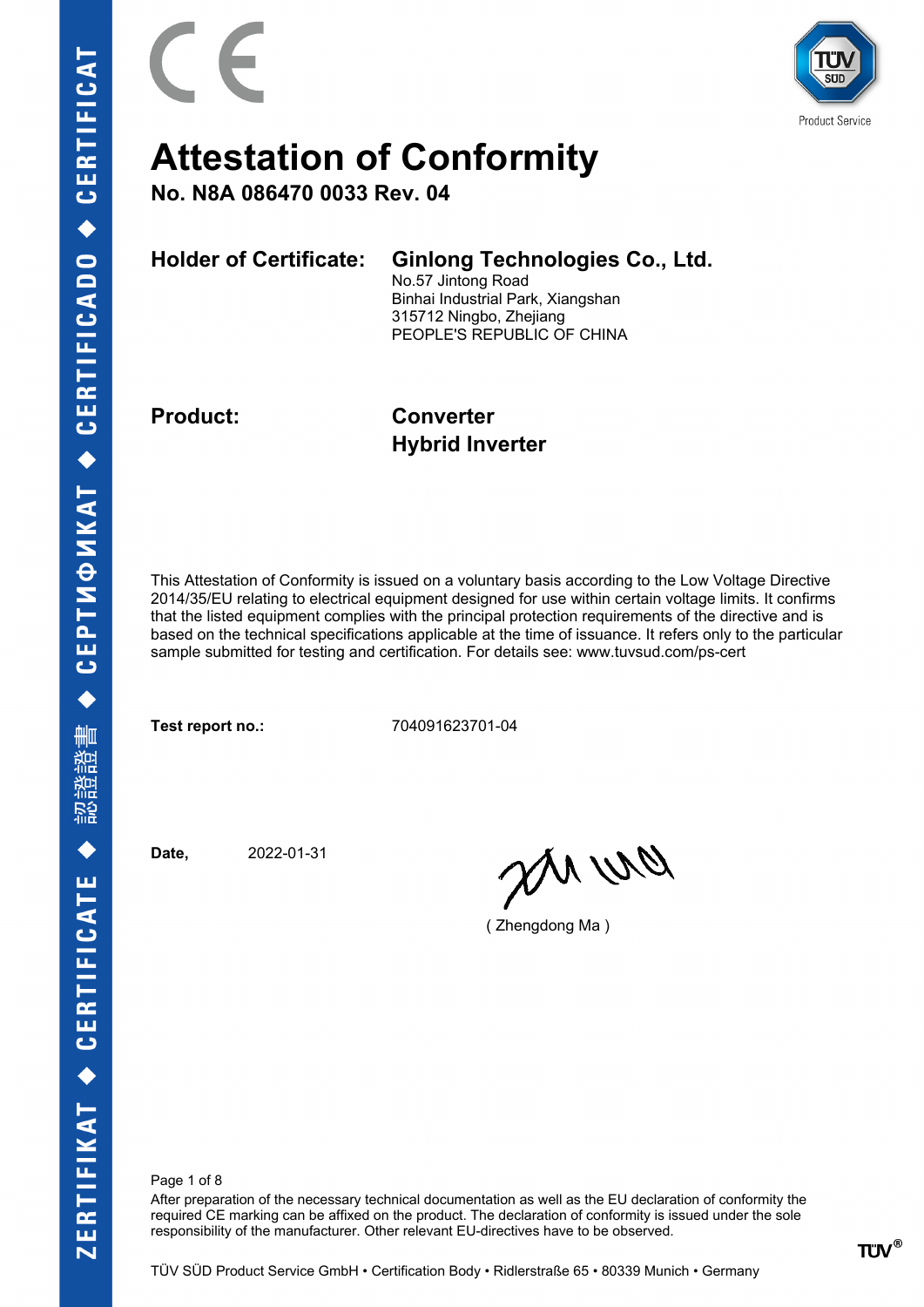

**No. N8A 086470 0033 Rev. 04**

**Holder of Certificate: Ginlong Technologies Co., Ltd.**

No.57 Jintong Road Binhai Industrial Park, Xiangshan 315712 Ningbo, Zhejiang PEOPLE'S REPUBLIC OF CHINA

**Product: Converter Hybrid Inverter**

This Attestation of Conformity is issued on a voluntary basis according to the Low Voltage Directive 2014/35/EU relating to electrical equipment designed for use within certain voltage limits. It confirms that the listed equipment complies with the principal protection requirements of the directive and is based on the technical specifications applicable at the time of issuance. It refers only to the particular sample submitted for testing and certification. For details see: www.tuvsud.com/ps-cert

**Test report no.:** 704091623701-04

**Date,** 2022-01-31

anvio

( Zhengdong Ma )

Page 1 of 8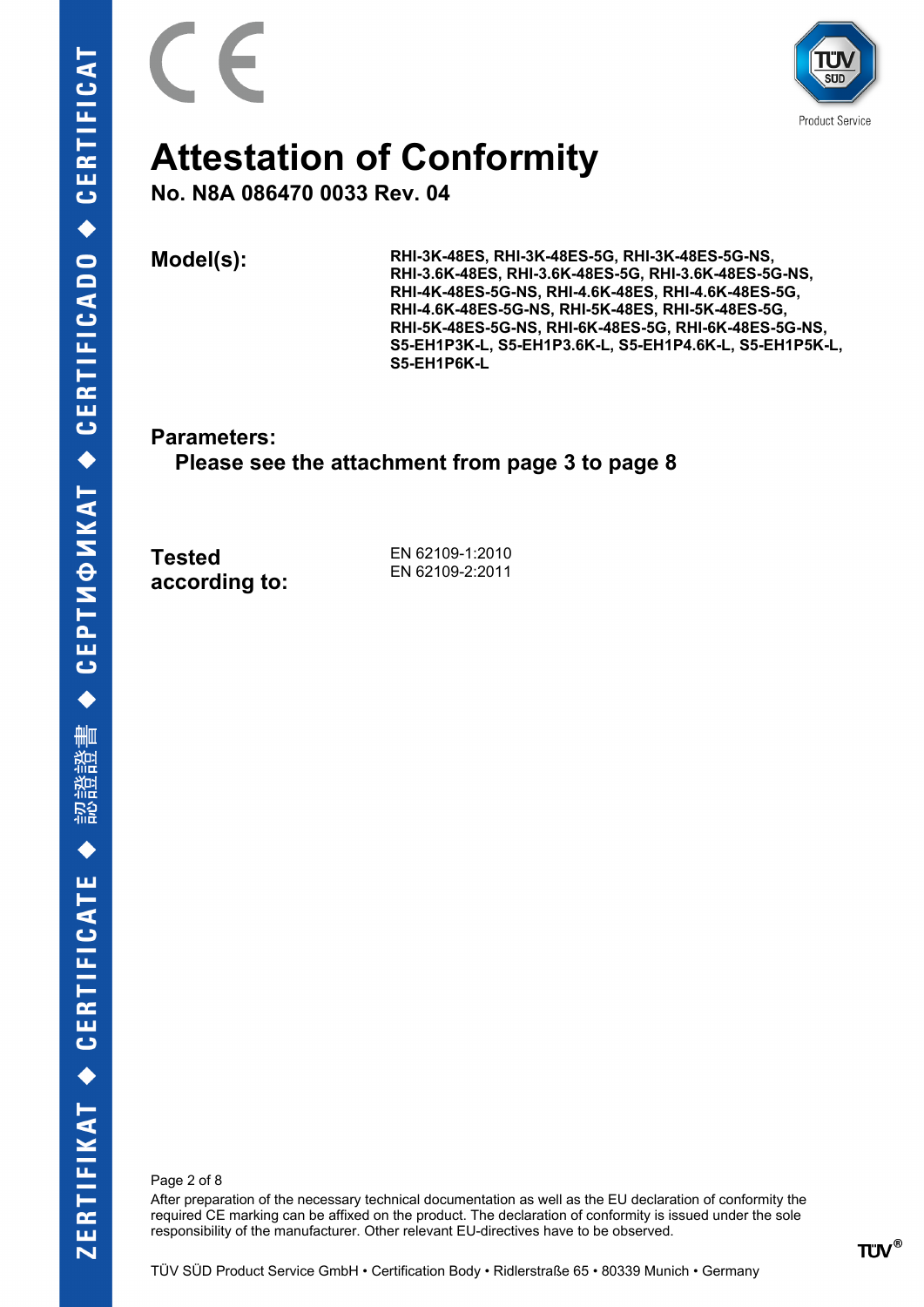

**Product Service** 

### **Attestation of Conformity**

**No. N8A 086470 0033 Rev. 04**

**Model(s): RHI-3K-48ES, RHI-3K-48ES-5G, RHI-3K-48ES-5G-NS, RHI-3.6K-48ES, RHI-3.6K-48ES-5G, RHI-3.6K-48ES-5G-NS, RHI-4K-48ES-5G-NS, RHI-4.6K-48ES, RHI-4.6K-48ES-5G, RHI-4.6K-48ES-5G-NS, RHI-5K-48ES, RHI-5K-48ES-5G, RHI-5K-48ES-5G-NS, RHI-6K-48ES-5G, RHI-6K-48ES-5G-NS, S5-EH1P3K-L, S5-EH1P3.6K-L, S5-EH1P4.6K-L, S5-EH1P5K-L, S5-EH1P6K-L**

**Parameters:**

 **Please see the attachment from page 3 to page 8**

**Tested according to:**

EN 62109-1:2010 EN 62109-2:2011

Page 2 of 8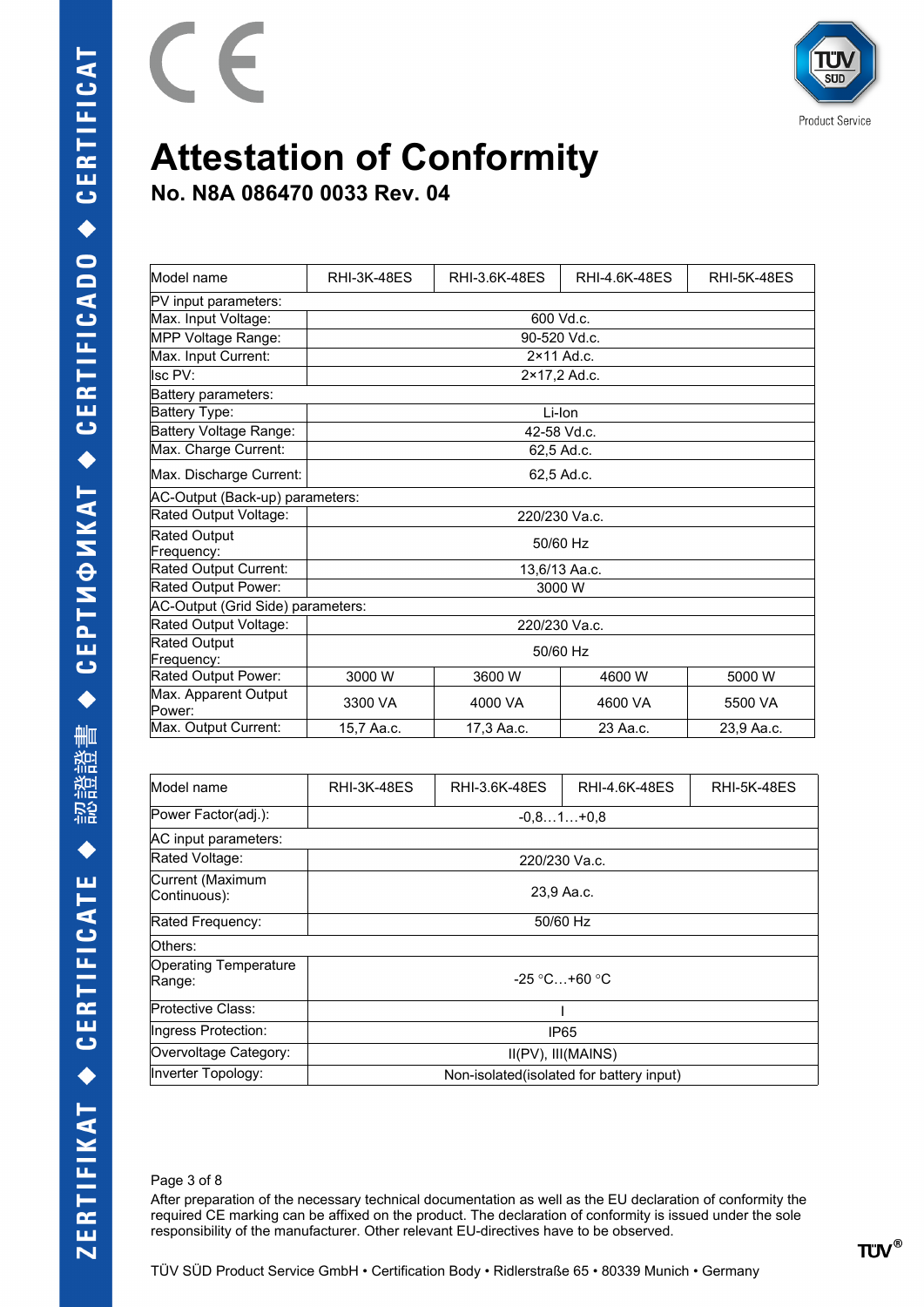

**No. N8A 086470 0033 Rev. 04**

E

| Model name                      | <b>RHI-3K-48ES</b>                | RHI-3.6K-48ES | RHI-4.6K-48ES | <b>RHI-5K-48ES</b> |  |
|---------------------------------|-----------------------------------|---------------|---------------|--------------------|--|
| PV input parameters:            |                                   |               |               |                    |  |
| Max. Input Voltage:             |                                   |               | 600 Vd.c.     |                    |  |
| MPP Voltage Range:              |                                   |               | 90-520 Vd.c.  |                    |  |
| Max. Input Current:             |                                   |               | 2×11 Ad.c.    |                    |  |
| Isc PV:                         |                                   |               | 2×17,2 Ad.c.  |                    |  |
| Battery parameters:             |                                   |               |               |                    |  |
| Battery Type:                   |                                   |               | Li-Ion        |                    |  |
| Battery Voltage Range:          |                                   | 42-58 Vd.c.   |               |                    |  |
| Max. Charge Current:            |                                   |               | 62,5 Ad.c.    |                    |  |
| Max. Discharge Current:         |                                   |               | 62,5 Ad.c.    |                    |  |
| AC-Output (Back-up) parameters: |                                   |               |               |                    |  |
| Rated Output Voltage:           | 220/230 Va.c.                     |               |               |                    |  |
| <b>Rated Output</b>             | 50/60 Hz                          |               |               |                    |  |
| Frequency:                      |                                   |               |               |                    |  |
| Rated Output Current:           | 13,6/13 Aa.c.                     |               |               |                    |  |
| Rated Output Power:             | 3000 W                            |               |               |                    |  |
|                                 | AC-Output (Grid Side) parameters: |               |               |                    |  |
| Rated Output Voltage:           | 220/230 Va.c.                     |               |               |                    |  |
| <b>Rated Output</b>             | 50/60 Hz                          |               |               |                    |  |
| Frequency:                      |                                   |               |               |                    |  |
| Rated Output Power:             | 3000 W                            | 3600 W        | 4600 W        | 5000 W             |  |
| Max. Apparent Output            | 3300 VA                           | 4000 VA       | 4600 VA       | 5500 VA            |  |
| Power:                          |                                   |               |               |                    |  |
| Max. Output Current:            | 15,7 Aa.c.                        | 17,3 Aa.c.    | 23 Aa.c.      | 23.9 Aa.c.         |  |

| Model name                             | <b>RHI-3K-48ES</b>                        | RHI-3.6K-48ES | RHI-4.6K-48ES | <b>RHI-5K-48ES</b> |
|----------------------------------------|-------------------------------------------|---------------|---------------|--------------------|
| Power Factor(adj.):                    |                                           |               | $-0.81+0.8$   |                    |
| AC input parameters:                   |                                           |               |               |                    |
| Rated Voltage:                         | 220/230 Va.c.                             |               |               |                    |
| Current (Maximum<br>Continuous):       | 23,9 Aa.c.                                |               |               |                    |
| Rated Frequency:                       | 50/60 Hz                                  |               |               |                    |
| Others:                                |                                           |               |               |                    |
| <b>Operating Temperature</b><br>Range: | $-25$ °C +60 °C                           |               |               |                    |
| Protective Class:                      |                                           |               |               |                    |
| Ingress Protection:                    | IP <sub>65</sub>                          |               |               |                    |
| Overvoltage Category:                  | II(PV), III(MAINS)                        |               |               |                    |
| Inverter Topology:                     | Non-isolated (isolated for battery input) |               |               |                    |

#### Page 3 of 8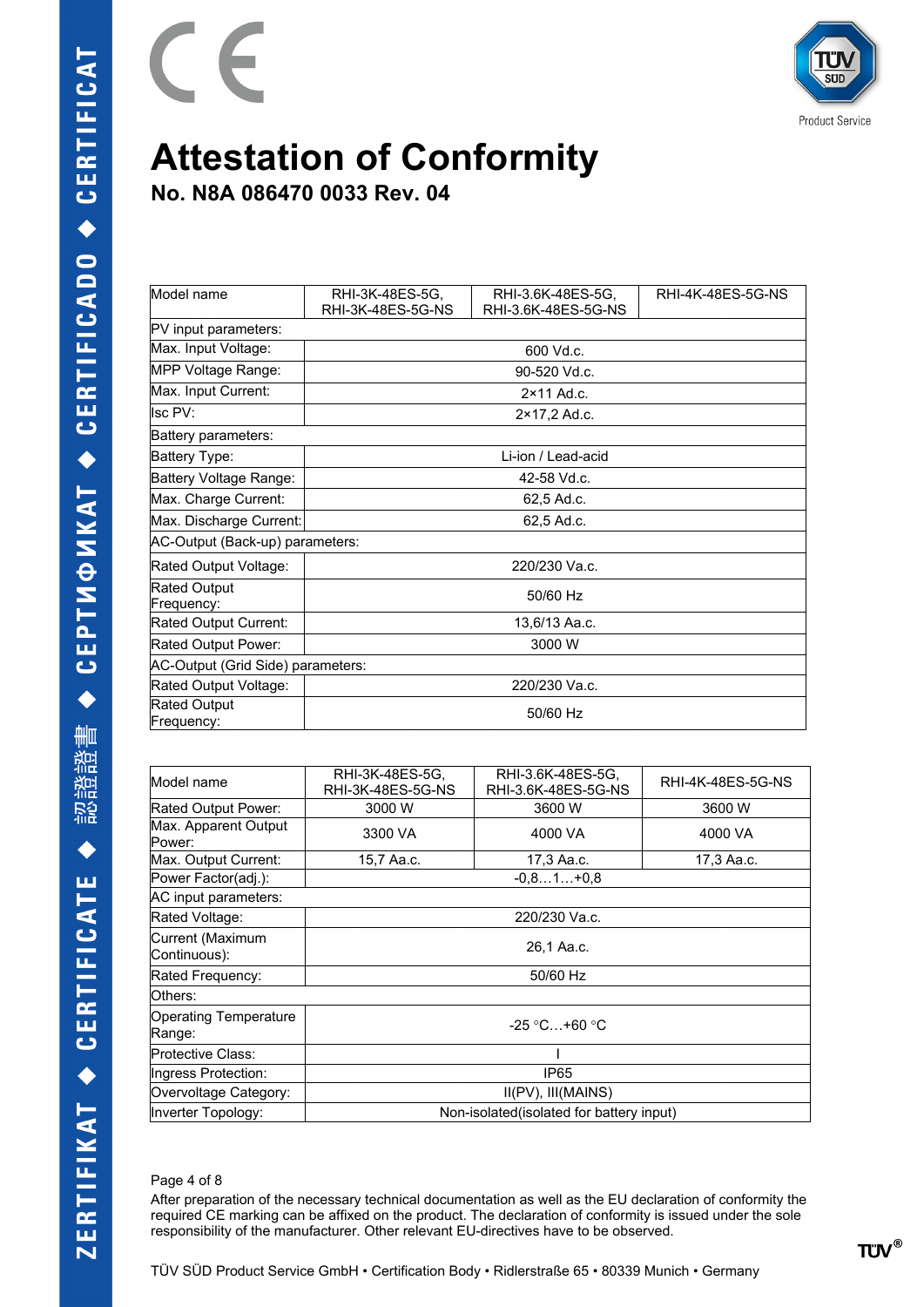

**No. N8A 086470 0033 Rev. 04**

E

| Model name                        | RHI-3K-48ES-5G,<br>RHI-3K-48ES-5G-NS | RHI-3.6K-48ES-5G.<br>RHI-3.6K-48ES-5G-NS | RHI-4K-48ES-5G-NS |
|-----------------------------------|--------------------------------------|------------------------------------------|-------------------|
| PV input parameters:              |                                      |                                          |                   |
| Max. Input Voltage:               |                                      | 600 Vd.c.                                |                   |
| MPP Voltage Range:                |                                      | 90-520 Vd.c.                             |                   |
| Max. Input Current:               |                                      | 2×11 Ad.c.                               |                   |
| lsc PV:                           |                                      | 2×17,2 Ad.c.                             |                   |
| Battery parameters:               |                                      |                                          |                   |
| Battery Type:                     |                                      | Li-ion / Lead-acid                       |                   |
| Battery Voltage Range:            | 42-58 Vd.c.                          |                                          |                   |
| Max. Charge Current:              | 62,5 Ad.c.                           |                                          |                   |
| Max. Discharge Current:           | 62.5 Ad.c.                           |                                          |                   |
| AC-Output (Back-up) parameters:   |                                      |                                          |                   |
| Rated Output Voltage:             | 220/230 Va.c.                        |                                          |                   |
| <b>Rated Output</b><br>Frequency: | 50/60 Hz                             |                                          |                   |
| Rated Output Current:             | 13,6/13 Aa.c.                        |                                          |                   |
| Rated Output Power:               | 3000 W                               |                                          |                   |
| AC-Output (Grid Side) parameters: |                                      |                                          |                   |
| Rated Output Voltage:             | 220/230 Va.c.                        |                                          |                   |
| Rated Output<br>Frequency:        | 50/60 Hz                             |                                          |                   |

| Model name                       | RHI-3K-48ES-5G,<br>RHI-3K-48ES-5G-NS      | RHI-3.6K-48ES-5G,<br>RHI-3.6K-48ES-5G-NS | RHI-4K-48ES-5G-NS |
|----------------------------------|-------------------------------------------|------------------------------------------|-------------------|
| Rated Output Power:              | 3000 W                                    | 3600 W                                   | 3600 W            |
| Max. Apparent Output<br>Power:   | 3300 VA                                   | 4000 VA                                  | 4000 VA           |
| Max. Output Current:             | 15,7 Aa.c.                                | 17,3 Aa.c.                               | 17,3 Aa.c.        |
| Power Factor(adj.):              |                                           | $-0.81+0.8$                              |                   |
| AC input parameters:             |                                           |                                          |                   |
| Rated Voltage:                   | 220/230 Va.c.                             |                                          |                   |
| Current (Maximum<br>Continuous): | 26,1 Aa.c.                                |                                          |                   |
| Rated Frequency:                 | 50/60 Hz                                  |                                          |                   |
| Others:                          |                                           |                                          |                   |
| Operating Temperature<br>Range:  | $-25 \degree C + 60 \degree C$            |                                          |                   |
| Protective Class:                |                                           |                                          |                   |
| Ingress Protection:              | IP <sub>65</sub>                          |                                          |                   |
| Overvoltage Category:            | $II(PV)$ , $III(MAINS)$                   |                                          |                   |
| Inverter Topology:               | Non-isolated (isolated for battery input) |                                          |                   |

#### Page 4 of 8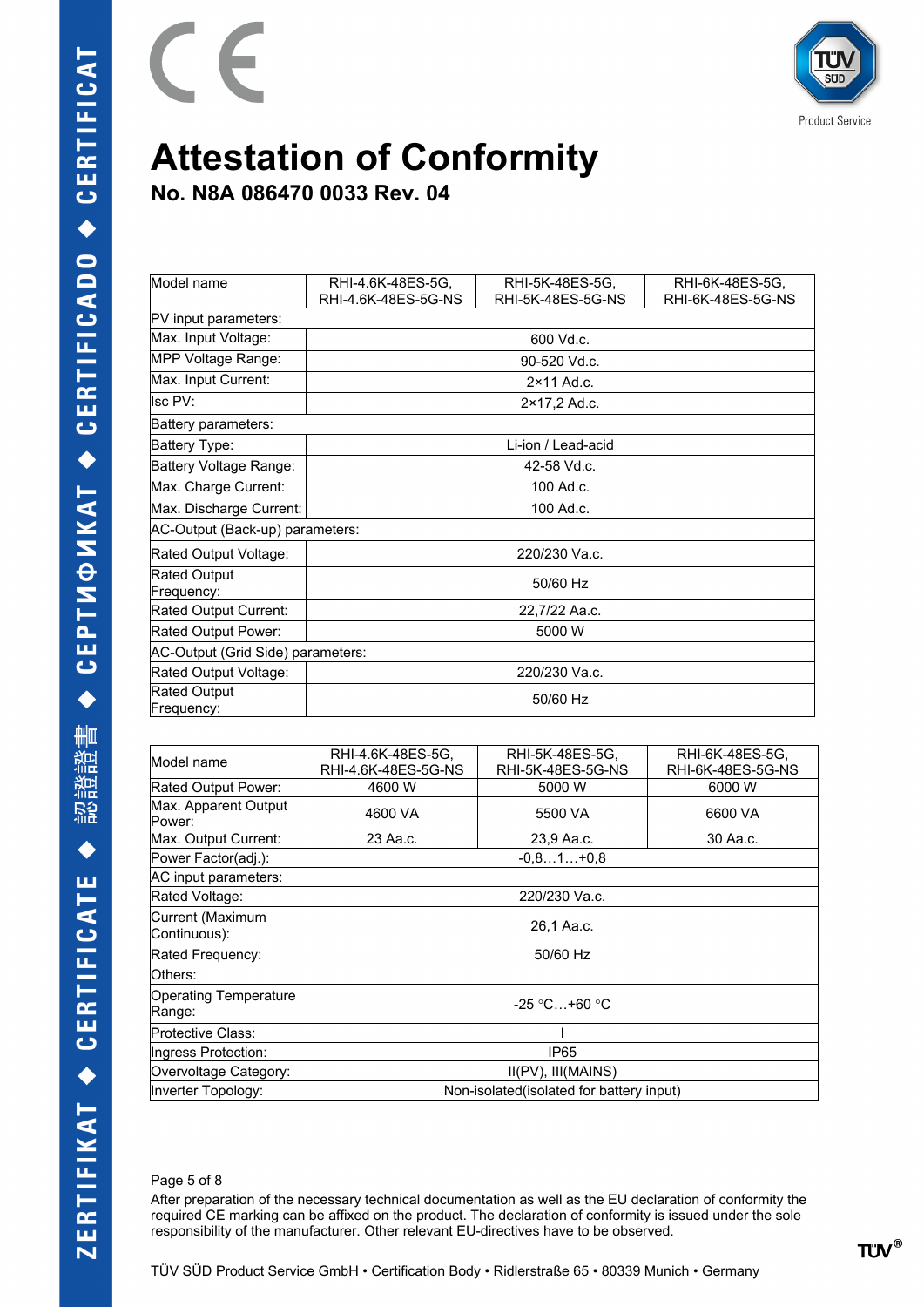

**No. N8A 086470 0033 Rev. 04**

E

| Model name                        | RHI-4.6K-48ES-5G,   | RHI-5K-48ES-5G,     | RHI-6K-48ES-5G,   |
|-----------------------------------|---------------------|---------------------|-------------------|
|                                   | RHI-4.6K-48ES-5G-NS | RHI-5K-48ES-5G-NS   | RHI-6K-48ES-5G-NS |
| PV input parameters:              |                     |                     |                   |
| Max. Input Voltage:               |                     | 600 Vd.c.           |                   |
| MPP Voltage Range:                |                     | 90-520 Vd.c.        |                   |
| Max. Input Current:               |                     | $2 \times 11$ Ad.c. |                   |
| lsc PV:                           |                     | 2×17,2 Ad.c.        |                   |
| Battery parameters:               |                     |                     |                   |
| Battery Type:                     |                     | Li-ion / Lead-acid  |                   |
| Battery Voltage Range:            | 42-58 Vd.c.         |                     |                   |
| Max. Charge Current:              | 100 Ad.c.           |                     |                   |
| Max. Discharge Current:           | 100 Ad.c.           |                     |                   |
| AC-Output (Back-up) parameters:   |                     |                     |                   |
| Rated Output Voltage:             | 220/230 Va.c.       |                     |                   |
| Rated Output<br>Frequency:        | 50/60 Hz            |                     |                   |
| Rated Output Current:             | 22,7/22 Aa.c.       |                     |                   |
| Rated Output Power:               | 5000 W              |                     |                   |
| AC-Output (Grid Side) parameters: |                     |                     |                   |
| Rated Output Voltage:             | 220/230 Va.c.       |                     |                   |
| Rated Output<br>Frequency:        | 50/60 Hz            |                     |                   |

| RHI-4.6K-48ES-5G.<br>RHI-4.6K-48ES-5G-NS  | RHI-5K-48ES-5G,<br>RHI-5K-48ES-5G-NS | RHI-6K-48ES-5G,<br>RHI-6K-48ES-5G-NS |
|-------------------------------------------|--------------------------------------|--------------------------------------|
| 4600 W                                    | 5000 W                               | 6000 W                               |
| 4600 VA                                   | 5500 VA                              | 6600 VA                              |
| 23 Aa.c.                                  | 23,9 Aa.c.                           | 30 Aa.c.                             |
|                                           | $-0.81+0.8$                          |                                      |
|                                           |                                      |                                      |
|                                           | 220/230 Va.c.                        |                                      |
| 26,1 Aa.c.                                |                                      |                                      |
| 50/60 Hz                                  |                                      |                                      |
| lOthers:                                  |                                      |                                      |
| $-25$ °C +60 °C                           |                                      |                                      |
|                                           |                                      |                                      |
| IP65                                      |                                      |                                      |
| $II(PV)$ , $III(MAINS)$                   |                                      |                                      |
| Non-isolated (isolated for battery input) |                                      |                                      |
|                                           |                                      |                                      |

#### Page 5 of 8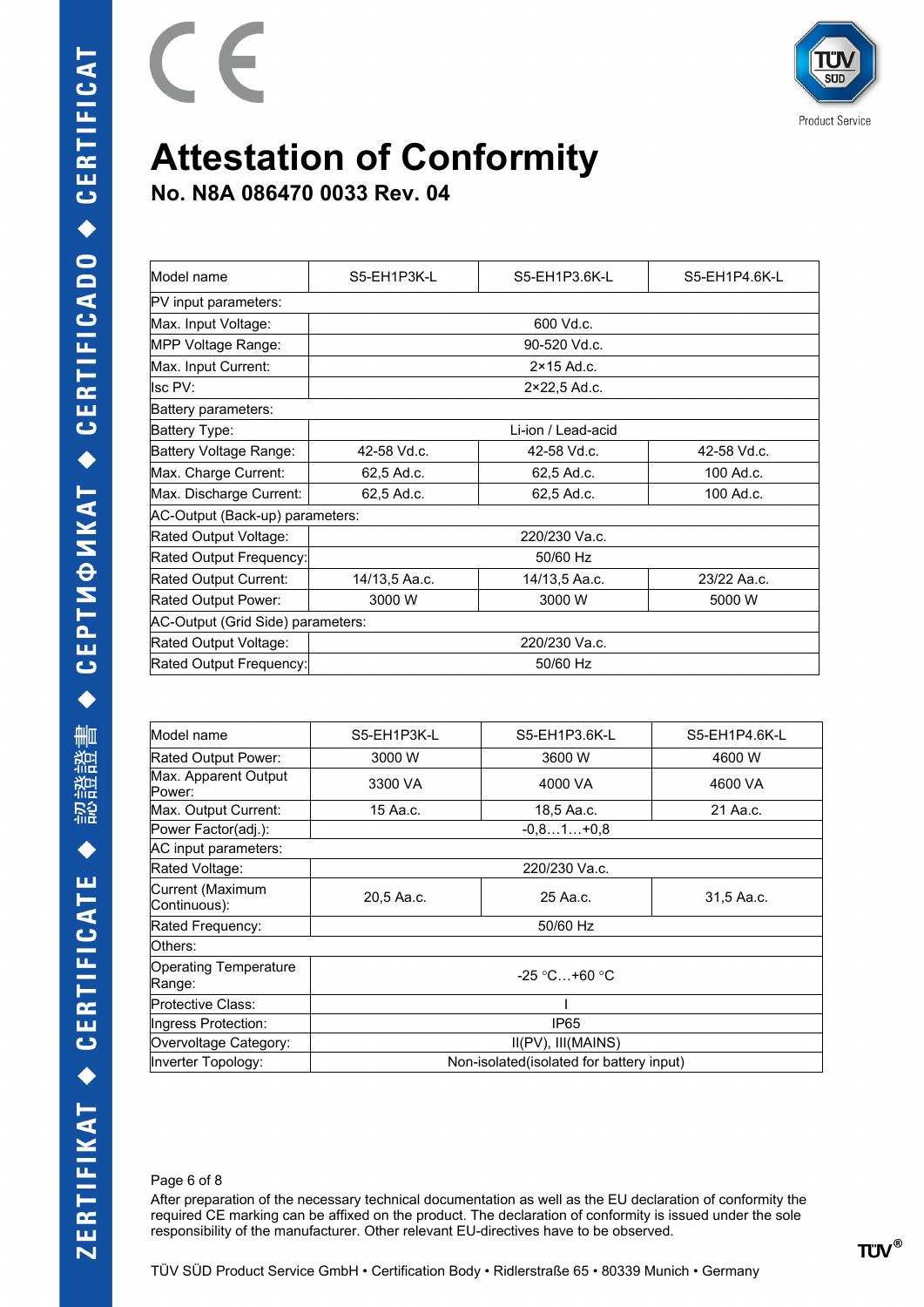

**No. N8A 086470 0033 Rev. 04**

E

| Model name                      | S5-EH1P3K-L                           | S5-EH1P3.6K-L       | S5-EH1P4.6K-L |  |  |
|---------------------------------|---------------------------------------|---------------------|---------------|--|--|
| PV input parameters:            |                                       |                     |               |  |  |
| Max. Input Voltage:             |                                       | 600 Vd.c.           |               |  |  |
| MPP Voltage Range:              |                                       | 90-520 Vd.c.        |               |  |  |
| Max. Input Current:             |                                       | $2 \times 15$ Ad.c. |               |  |  |
| llsc PV:                        |                                       | 2×22,5 Ad.c.        |               |  |  |
| Battery parameters:             |                                       |                     |               |  |  |
| Battery Type:                   | Li-ion / Lead-acid                    |                     |               |  |  |
| Battery Voltage Range:          | 42-58 Vd.c.                           | 42-58 Vd.c.         | 42-58 Vd.c.   |  |  |
| Max. Charge Current:            | 62,5 Ad.c.                            | 62,5 Ad.c.          | 100 Ad.c.     |  |  |
| Max. Discharge Current:         | 62,5 Ad.c.<br>100 Ad.c.<br>62,5 Ad.c. |                     |               |  |  |
| AC-Output (Back-up) parameters: |                                       |                     |               |  |  |
| Rated Output Voltage:           | 220/230 Va.c.                         |                     |               |  |  |
| Rated Output Frequency:         | 50/60 Hz                              |                     |               |  |  |
| Rated Output Current:           | 14/13,5 Aa.c.                         | 14/13,5 Aa.c.       | 23/22 Aa.c.   |  |  |
| Rated Output Power:             | 3000 W                                | 3000 W              | 5000 W        |  |  |
|                                 | AC-Output (Grid Side) parameters:     |                     |               |  |  |
| Rated Output Voltage:           | 220/230 Va.c.                         |                     |               |  |  |
| Rated Output Frequency:         | 50/60 Hz                              |                     |               |  |  |
|                                 |                                       |                     |               |  |  |

| S5-EH1P3K-L                               | S5-EH1P3.6K-L | S5-EH1P4.6K-L |  |
|-------------------------------------------|---------------|---------------|--|
| 3000 W                                    | 3600 W        | 4600 W        |  |
| 3300 VA                                   | 4000 VA       | 4600 VA       |  |
| 15 Aa.c.                                  | 18,5 Aa.c.    | 21 Aa.c.      |  |
|                                           | $-0.81+0.8$   |               |  |
|                                           |               |               |  |
| 220/230 Va.c.                             |               |               |  |
| 20,5 Aa.c.                                | 25 Aa.c.      | 31,5 Aa.c.    |  |
| 50/60 Hz                                  |               |               |  |
| Others:                                   |               |               |  |
| $-25$ °C+60 °C                            |               |               |  |
|                                           |               |               |  |
| IP <sub>65</sub>                          |               |               |  |
| II(PV), III(MAINS)                        |               |               |  |
| Non-isolated (isolated for battery input) |               |               |  |
|                                           |               |               |  |

#### Page 6 of 8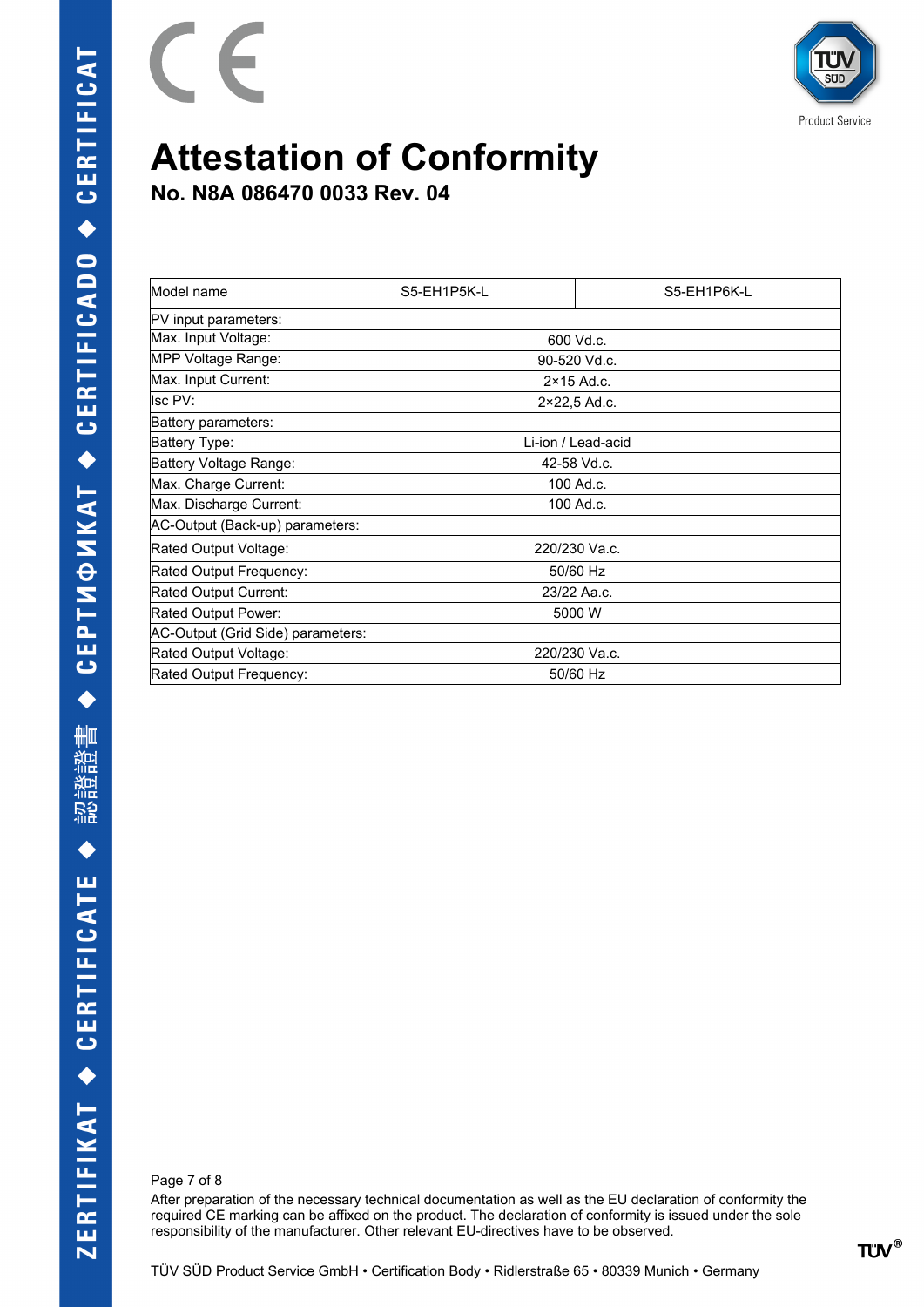

**No. N8A 086470 0033 Rev. 04**

E

| Model name                        | S5-EH1P5K-L   | S5-EH1P6K-L         |  |
|-----------------------------------|---------------|---------------------|--|
| PV input parameters:              |               |                     |  |
| Max. Input Voltage:               |               | 600 Vd.c.           |  |
| MPP Voltage Range:                |               | 90-520 Vd.c.        |  |
| Max. Input Current:               |               | $2 \times 15$ Ad.c. |  |
| lsc PV:                           |               | 2×22,5 Ad.c.        |  |
| Battery parameters:               |               |                     |  |
| Battery Type:                     |               | Li-ion / Lead-acid  |  |
| Battery Voltage Range:            | 42-58 Vd.c.   |                     |  |
| Max. Charge Current:              | 100 Ad.c.     |                     |  |
| Max. Discharge Current:           | 100 Ad.c.     |                     |  |
| AC-Output (Back-up) parameters:   |               |                     |  |
| Rated Output Voltage:             | 220/230 Va.c. |                     |  |
| Rated Output Frequency:           | 50/60 Hz      |                     |  |
| Rated Output Current:             | 23/22 Aa.c.   |                     |  |
| Rated Output Power:               | 5000 W        |                     |  |
| AC-Output (Grid Side) parameters: |               |                     |  |
| Rated Output Voltage:             | 220/230 Va.c. |                     |  |
| Rated Output Frequency:           | 50/60 Hz      |                     |  |

Page 7 of 8